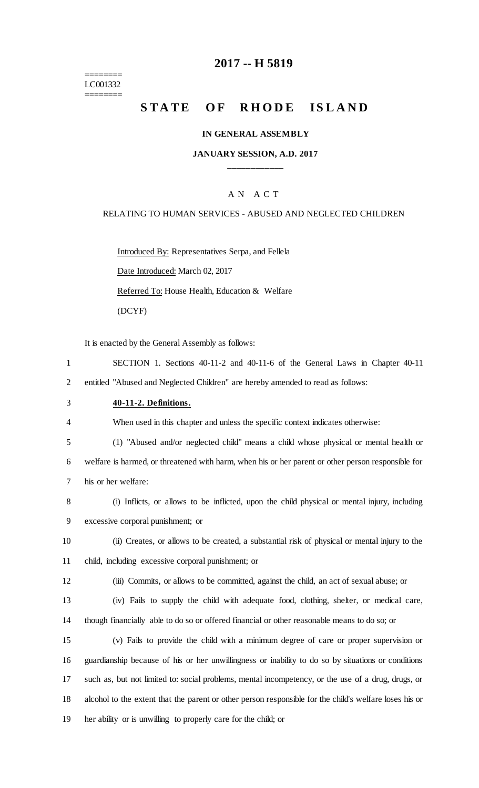#### ======== LC001332 ========

### **2017 -- H 5819**

# **STATE OF RHODE ISLAND**

#### **IN GENERAL ASSEMBLY**

### **JANUARY SESSION, A.D. 2017 \_\_\_\_\_\_\_\_\_\_\_\_**

### A N A C T

#### RELATING TO HUMAN SERVICES - ABUSED AND NEGLECTED CHILDREN

Introduced By: Representatives Serpa, and Fellela Date Introduced: March 02, 2017 Referred To: House Health, Education & Welfare (DCYF)

It is enacted by the General Assembly as follows:

- 1 SECTION 1. Sections 40-11-2 and 40-11-6 of the General Laws in Chapter 40-11 2 entitled "Abused and Neglected Children" are hereby amended to read as follows:
- 3 **40-11-2. Definitions.**

4 When used in this chapter and unless the specific context indicates otherwise:

5 (1) "Abused and/or neglected child" means a child whose physical or mental health or

6 welfare is harmed, or threatened with harm, when his or her parent or other person responsible for 7 his or her welfare:

- 8 (i) Inflicts, or allows to be inflicted, upon the child physical or mental injury, including 9 excessive corporal punishment; or
- 10 (ii) Creates, or allows to be created, a substantial risk of physical or mental injury to the 11 child, including excessive corporal punishment; or
- 12 (iii) Commits, or allows to be committed, against the child, an act of sexual abuse; or
- 13 (iv) Fails to supply the child with adequate food, clothing, shelter, or medical care, 14 though financially able to do so or offered financial or other reasonable means to do so; or
- 15 (v) Fails to provide the child with a minimum degree of care or proper supervision or 16 guardianship because of his or her unwillingness or inability to do so by situations or conditions 17 such as, but not limited to: social problems, mental incompetency, or the use of a drug, drugs, or 18 alcohol to the extent that the parent or other person responsible for the child's welfare loses his or 19 her ability or is unwilling to properly care for the child; or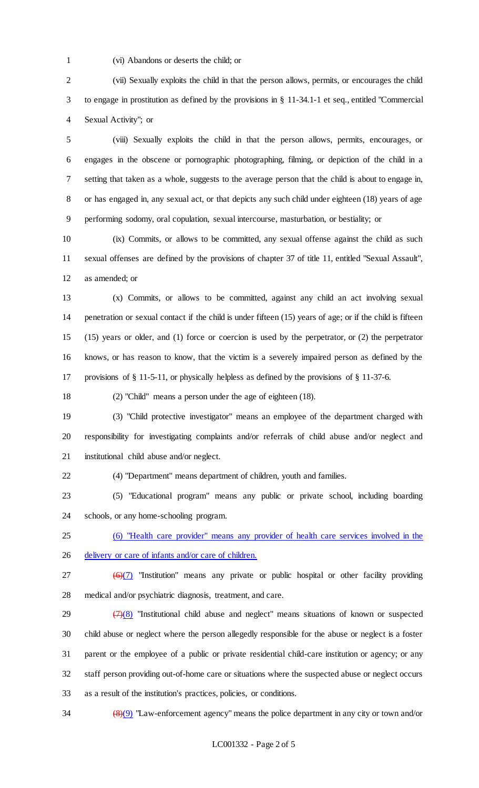(vi) Abandons or deserts the child; or

 (vii) Sexually exploits the child in that the person allows, permits, or encourages the child to engage in prostitution as defined by the provisions in § 11-34.1-1 et seq., entitled "Commercial Sexual Activity"; or

 (viii) Sexually exploits the child in that the person allows, permits, encourages, or engages in the obscene or pornographic photographing, filming, or depiction of the child in a setting that taken as a whole, suggests to the average person that the child is about to engage in, or has engaged in, any sexual act, or that depicts any such child under eighteen (18) years of age performing sodomy, oral copulation, sexual intercourse, masturbation, or bestiality; or

 (ix) Commits, or allows to be committed, any sexual offense against the child as such sexual offenses are defined by the provisions of chapter 37 of title 11, entitled "Sexual Assault", as amended; or

 (x) Commits, or allows to be committed, against any child an act involving sexual penetration or sexual contact if the child is under fifteen (15) years of age; or if the child is fifteen (15) years or older, and (1) force or coercion is used by the perpetrator, or (2) the perpetrator knows, or has reason to know, that the victim is a severely impaired person as defined by the provisions of § 11-5-11, or physically helpless as defined by the provisions of § 11-37-6.

(2) "Child" means a person under the age of eighteen (18).

 (3) "Child protective investigator" means an employee of the department charged with responsibility for investigating complaints and/or referrals of child abuse and/or neglect and institutional child abuse and/or neglect.

(4) "Department" means department of children, youth and families.

 (5) "Educational program" means any public or private school, including boarding schools, or any home-schooling program.

 (6) "Health care provider" means any provider of health care services involved in the delivery or care of infants and/or care of children.

27  $(6)(7)$  "Institution" means any private or public hospital or other facility providing medical and/or psychiatric diagnosis, treatment, and care.

 $(7)(8)$  "Institutional child abuse and neglect" means situations of known or suspected child abuse or neglect where the person allegedly responsible for the abuse or neglect is a foster parent or the employee of a public or private residential child-care institution or agency; or any staff person providing out-of-home care or situations where the suspected abuse or neglect occurs as a result of the institution's practices, policies, or conditions.

(8)(9) "Law-enforcement agency" means the police department in any city or town and/or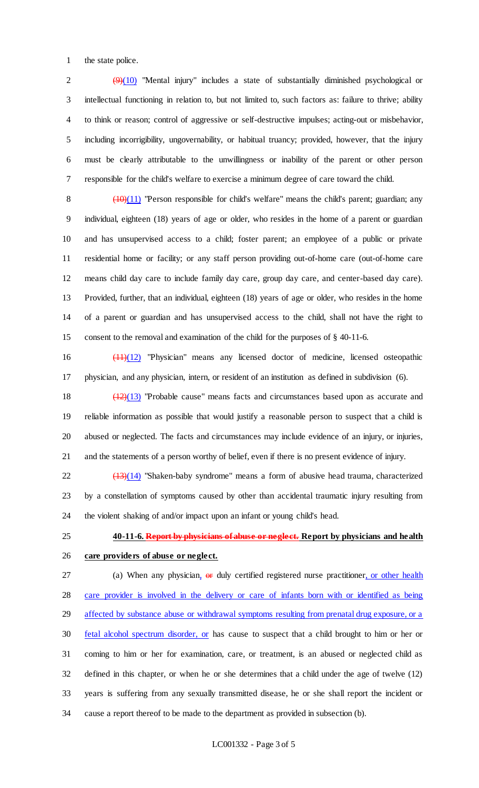the state police.

 $(9)(10)$  "Mental injury" includes a state of substantially diminished psychological or intellectual functioning in relation to, but not limited to, such factors as: failure to thrive; ability to think or reason; control of aggressive or self-destructive impulses; acting-out or misbehavior, including incorrigibility, ungovernability, or habitual truancy; provided, however, that the injury must be clearly attributable to the unwillingness or inability of the parent or other person responsible for the child's welfare to exercise a minimum degree of care toward the child.

 $\left(\frac{(10)(11)}{2}\right)$  "Person responsible for child's welfare" means the child's parent; guardian; any individual, eighteen (18) years of age or older, who resides in the home of a parent or guardian and has unsupervised access to a child; foster parent; an employee of a public or private residential home or facility; or any staff person providing out-of-home care (out-of-home care means child day care to include family day care, group day care, and center-based day care). Provided, further, that an individual, eighteen (18) years of age or older, who resides in the home of a parent or guardian and has unsupervised access to the child, shall not have the right to consent to the removal and examination of the child for the purposes of § 40-11-6.

 (11)(12) "Physician" means any licensed doctor of medicine, licensed osteopathic physician, and any physician, intern, or resident of an institution as defined in subdivision (6).

 (12)(13) "Probable cause" means facts and circumstances based upon as accurate and reliable information as possible that would justify a reasonable person to suspect that a child is abused or neglected. The facts and circumstances may include evidence of an injury, or injuries, and the statements of a person worthy of belief, even if there is no present evidence of injury.

 $\frac{(13)(14)}{22}$  "Shaken-baby syndrome" means a form of abusive head trauma, characterized by a constellation of symptoms caused by other than accidental traumatic injury resulting from the violent shaking of and/or impact upon an infant or young child's head.

 **40-11-6. Report by physicians of abuse or neglect. Report by physicians and health care providers of abuse or neglect.**

27 (a) When any physician, or duly certified registered nurse practitioner, or other health 28 care provider is involved in the delivery or care of infants born with or identified as being 29 affected by substance abuse or withdrawal symptoms resulting from prenatal drug exposure, or a 30 fetal alcohol spectrum disorder, or has cause to suspect that a child brought to him or her or coming to him or her for examination, care, or treatment, is an abused or neglected child as defined in this chapter, or when he or she determines that a child under the age of twelve (12) years is suffering from any sexually transmitted disease, he or she shall report the incident or cause a report thereof to be made to the department as provided in subsection (b).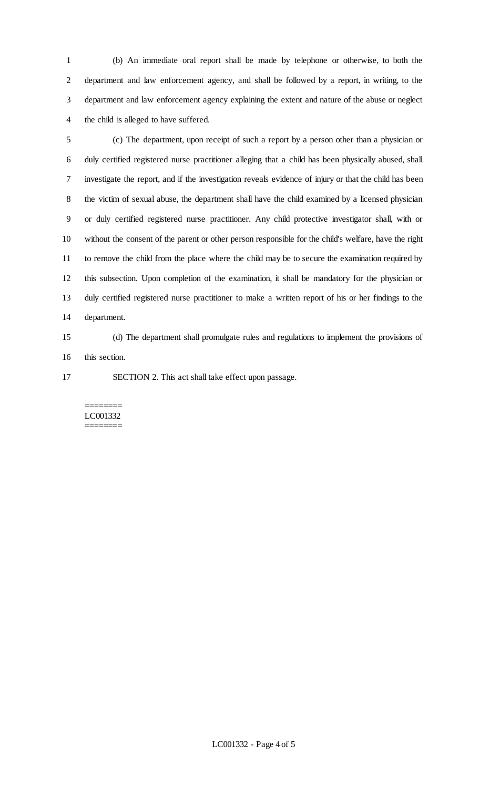(b) An immediate oral report shall be made by telephone or otherwise, to both the department and law enforcement agency, and shall be followed by a report, in writing, to the department and law enforcement agency explaining the extent and nature of the abuse or neglect the child is alleged to have suffered.

 (c) The department, upon receipt of such a report by a person other than a physician or duly certified registered nurse practitioner alleging that a child has been physically abused, shall investigate the report, and if the investigation reveals evidence of injury or that the child has been the victim of sexual abuse, the department shall have the child examined by a licensed physician or duly certified registered nurse practitioner. Any child protective investigator shall, with or without the consent of the parent or other person responsible for the child's welfare, have the right to remove the child from the place where the child may be to secure the examination required by this subsection. Upon completion of the examination, it shall be mandatory for the physician or duly certified registered nurse practitioner to make a written report of his or her findings to the department.

 (d) The department shall promulgate rules and regulations to implement the provisions of this section.

SECTION 2. This act shall take effect upon passage.

#### ======== LC001332 ========